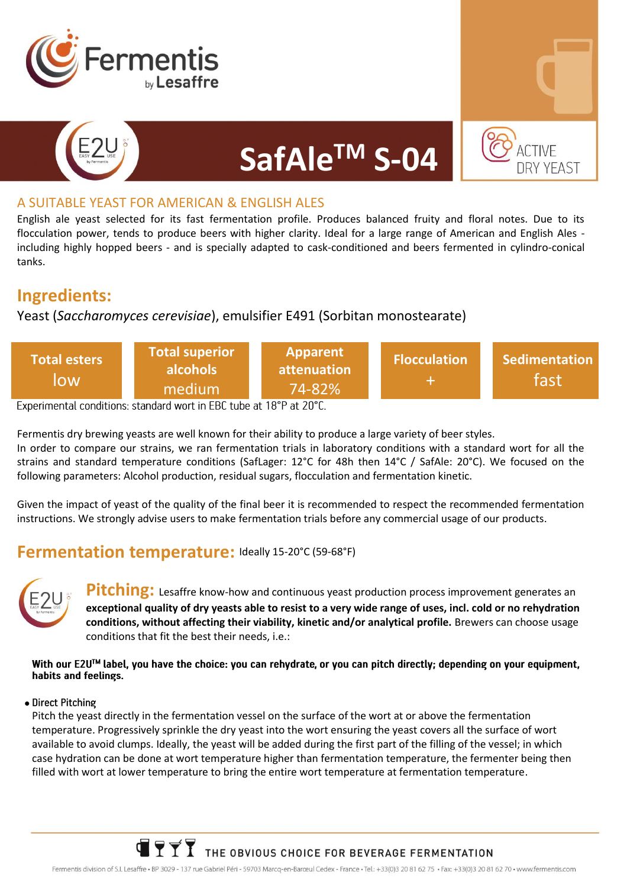



### A SUITABLE YEAST FOR AMERICAN & ENGLISH ALES

English ale yeast selected for its fast fermentation profile. Produces balanced fruity and floral notes. Due to its flocculation power, tends to produce beers with higher clarity. Ideal for a large range of American and English Ales including highly hopped beers - and is specially adapted to cask-conditioned and beers fermented in cylindro-conical tanks.

**SafAleTM S-04**

## **Ingredients:**

## Yeast (*Saccharomyces cerevisiae*), emulsifier E491 (Sorbitan monostearate)

| Total esters<br>low | <b>Total superior</b><br>alcohols<br>medium | Apparent<br>attenuation<br>$74 - 82%$ | <b>Flocculation</b> | <b>Sedimentation</b><br>fast |
|---------------------|---------------------------------------------|---------------------------------------|---------------------|------------------------------|
|---------------------|---------------------------------------------|---------------------------------------|---------------------|------------------------------|

Fermentis dry brewing yeasts are well known for their ability to produce a large variety of beer styles.

In order to compare our strains, we ran fermentation trials in laboratory conditions with a standard wort for all the strains and standard temperature conditions (SafLager: 12°C for 48h then 14°C / SafAle: 20°C). We focused on the following parameters: Alcohol production, residual sugars, flocculation and fermentation kinetic.

Given the impact of yeast of the quality of the final beer it is recommended to respect the recommended fermentation instructions. We strongly advise users to make fermentation trials before any commercial usage of our products.

## **Fermentation temperature:** Ideally 15-20°C (59-68°F)



**Pitching:** Lesaffre know-how and continuous yeast production process improvement generates an **exceptional quality of dry yeasts able to resist to a very wide range of uses, incl. cold or no rehydration conditions, without affecting their viability, kinetic and/or analytical profile.** Brewers can choose usage conditions that fit the best their needs, i.e.:

With our E2U<sup>TM</sup> label, you have the choice: you can rehydrate, or you can pitch directly; depending on your equipment, habits and feelings.

#### • Direct Pitching

Pitch the yeast directly in the fermentation vessel on the surface of the wort at or above the fermentation temperature. Progressively sprinkle the dry yeast into the wort ensuring the yeast covers all the surface of wort available to avoid clumps. Ideally, the yeast will be added during the first part of the filling of the vessel; in which case hydration can be done at wort temperature higher than fermentation temperature, the fermenter being then filled with wort at lower temperature to bring the entire wort temperature at fermentation temperature.

# $\blacksquare$   $\lozenge$   $\lozenge$   $\lozenge$  THE OBVIOUS CHOICE FOR BEVERAGE FERMENTATION